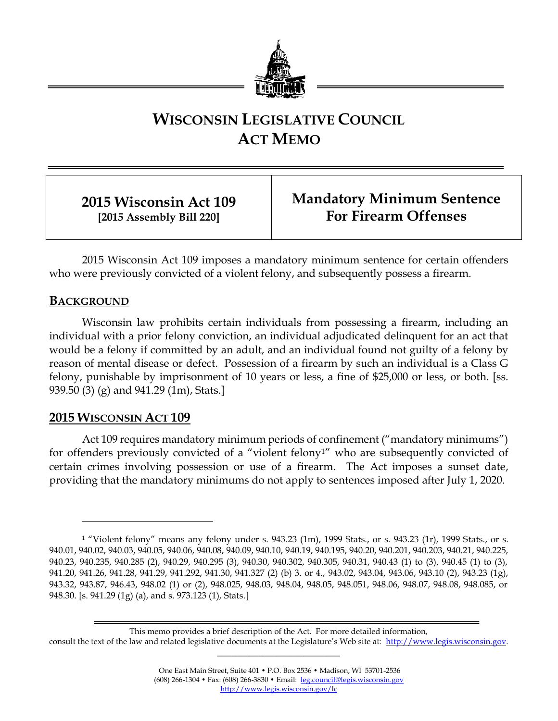

# **WISCONSIN LEGISLATIVE COUNCIL ACT MEMO**

**2015 Wisconsin Act 109 [2015 Assembly Bill 220]**

**Mandatory Minimum Sentence For Firearm Offenses**

2015 Wisconsin Act 109 imposes a mandatory minimum sentence for certain offenders who were previously convicted of a violent felony, and subsequently possess a firearm.

### **BACKGROUND**

 $\overline{a}$ 

Wisconsin law prohibits certain individuals from possessing a firearm, including an individual with a prior felony conviction, an individual adjudicated delinquent for an act that would be a felony if committed by an adult, and an individual found not guilty of a felony by reason of mental disease or defect. Possession of a firearm by such an individual is a Class G felony, punishable by imprisonment of 10 years or less, a fine of \$25,000 or less, or both. [ss. 939.50 (3) (g) and 941.29 (1m), Stats.]

## **2015 WISCONSIN ACT 109**

Act 109 requires mandatory minimum periods of confinement ("mandatory minimums") for offenders previously convicted of a "violent felony1" who are subsequently convicted of certain crimes involving possession or use of a firearm. The Act imposes a sunset date, providing that the mandatory minimums do not apply to sentences imposed after July 1, 2020.

This memo provides a brief description of the Act. For more detailed information, consult the text of the law and related legislative documents at the Legislature's Web site at: [http://www.legis.wisconsin.gov.](http://www.legis.wisconsin.gov/) **\_\_\_\_\_\_\_\_\_\_\_\_\_\_\_\_\_\_\_\_\_\_\_\_\_\_\_**

<sup>1</sup> "Violent felony" means any felony under s. 943.23 (1m), 1999 Stats., or s. 943.23 (1r), 1999 Stats., or s. 940.01, 940.02, 940.03, 940.05, 940.06, 940.08, 940.09, 940.10, 940.19, 940.195, 940.20, 940.201, 940.203, 940.21, 940.225, 940.23, 940.235, 940.285 (2), 940.29, 940.295 (3), 940.30, 940.302, 940.305, 940.31, 940.43 (1) to (3), 940.45 (1) to (3), 941.20, 941.26, 941.28, 941.29, 941.292, 941.30, 941.327 (2) (b) 3. or 4., 943.02, 943.04, 943.06, 943.10 (2), 943.23 (1g), 943.32, 943.87, 946.43, 948.02 (1) or (2), 948.025, 948.03, 948.04, 948.05, 948.051, 948.06, 948.07, 948.08, 948.085, or 948.30. [s. 941.29 (1g) (a), and s. 973.123 (1), Stats.]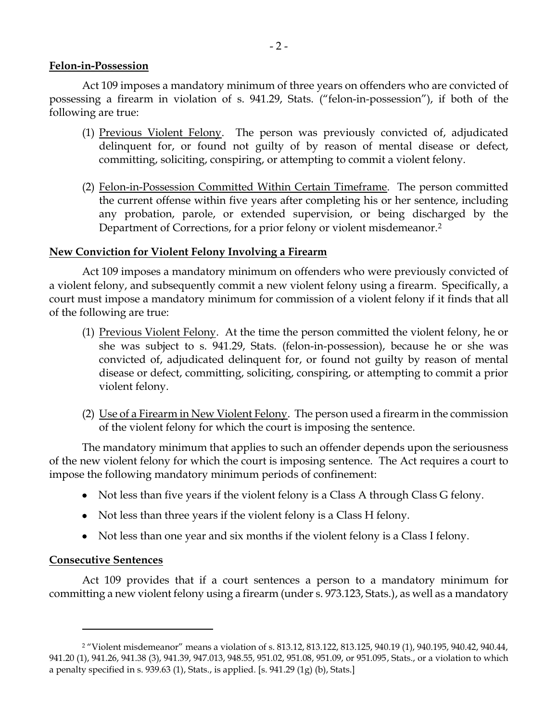#### **Felon-in-Possession**

Act 109 imposes a mandatory minimum of three years on offenders who are convicted of possessing a firearm in violation of s. 941.29, Stats. ("felon-in-possession"), if both of the following are true:

- (1) Previous Violent Felony. The person was previously convicted of, adjudicated delinquent for, or found not guilty of by reason of mental disease or defect, committing, soliciting, conspiring, or attempting to commit a violent felony.
- (2) Felon-in-Possession Committed Within Certain Timeframe. The person committed the current offense within five years after completing his or her sentence, including any probation, parole, or extended supervision, or being discharged by the Department of Corrections, for a prior felony or violent misdemeanor.<sup>2</sup>

#### **New Conviction for Violent Felony Involving a Firearm**

Act 109 imposes a mandatory minimum on offenders who were previously convicted of a violent felony, and subsequently commit a new violent felony using a firearm. Specifically, a court must impose a mandatory minimum for commission of a violent felony if it finds that all of the following are true:

- (1) Previous Violent Felony. At the time the person committed the violent felony, he or she was subject to s. 941.29, Stats. (felon-in-possession), because he or she was convicted of, adjudicated delinquent for, or found not guilty by reason of mental disease or defect, committing, soliciting, conspiring, or attempting to commit a prior violent felony.
- (2) Use of a Firearm in New Violent Felony. The person used a firearm in the commission of the violent felony for which the court is imposing the sentence.

The mandatory minimum that applies to such an offender depends upon the seriousness of the new violent felony for which the court is imposing sentence. The Act requires a court to impose the following mandatory minimum periods of confinement:

- Not less than five years if the violent felony is a Class A through Class G felony.
- Not less than three years if the violent felony is a Class H felony.
- Not less than one year and six months if the violent felony is a Class I felony.

#### **Consecutive Sentences**

 $\overline{a}$ 

Act 109 provides that if a court sentences a person to a mandatory minimum for committing a new violent felony using a firearm (under s. 973.123, Stats.), as well as a mandatory

<sup>2</sup> "Violent misdemeanor" means a violation of s. 813.12, 813.122, 813.125, 940.19 (1), 940.195, 940.42, 940.44, 941.20 (1), 941.26, 941.38 (3), 941.39, 947.013, 948.55, 951.02, 951.08, 951.09, or 951.095, Stats., or a violation to which a penalty specified in s. 939.63 (1), Stats., is applied. [s. 941.29 (1g) (b), Stats.]